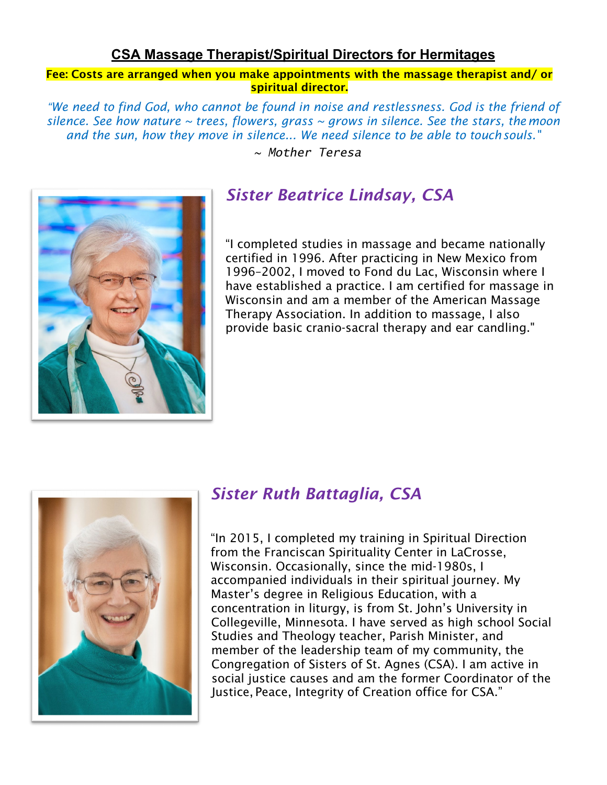#### **CSA Massage Therapist/Spiritual Directors for Hermitages**

Fee: Costs are arranged when you make appointments with the massage therapist and/ or spiritual director.

*"We need to find God, who cannot be found in noise and restlessness. God is the friend of silence. See how nature ~ trees, flowers, grass ~ grows in silence. See the stars, themoon and the sun, how they move in silence... We need silence to be able to touchsouls."*

*~ Mother Teresa*



### *Sister Beatrice Lindsay, CSA*

"I completed studies in massage and became nationally certified in 1996. After practicing in New Mexico from 1996–2002, I moved to Fond du Lac, Wisconsin where I have established a practice. I am certified for massage in Wisconsin and am a member of the American Massage Therapy Association. In addition to massage, I also provide basic cranio-sacral therapy and ear candling."



#### *Sister Ruth Battaglia, CSA*

"In 2015, I completed my training in Spiritual Direction from the Franciscan Spirituality Center in LaCrosse, Wisconsin. Occasionally, since the mid-1980s, I accompanied individuals in their spiritual journey. My Master's degree in Religious Education, with a concentration in liturgy, is from St. John's University in Collegeville, Minnesota. I have served as high school Social Studies and Theology teacher, Parish Minister, and member of the leadership team of my community, the Congregation of Sisters of St. Agnes (CSA). I am active in social justice causes and am the former Coordinator of the Justice, Peace, Integrity of Creation office for CSA."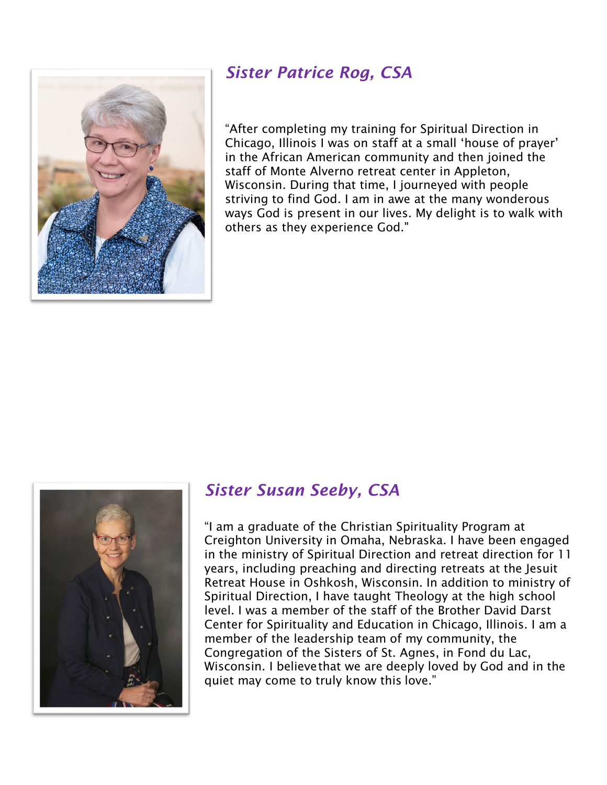## *Sister Patrice Rog, CSA*



"After completing my training for Spiritual Direction in Chicago, Illinois I was on staff at a small 'house of prayer' in the African American community and then joined the staff of Monte Alverno retreat center in Appleton, Wisconsin. During that time, I journeyed with people striving to find God. I am in awe at the many wonderous ways God is present in our lives. My delight is to walk with others as they experience God."



## *Sister Susan Seeby, CSA*

"I am a graduate of the Christian Spirituality Program at Creighton University in Omaha, Nebraska. I have been engaged in the ministry of Spiritual Direction and retreat direction for 11 years, including preaching and directing retreats at the Jesuit Retreat House in Oshkosh, Wisconsin. In addition to ministry of Spiritual Direction, I have taught Theology at the high school level. I was a member of the staff of the Brother David Darst Center for Spirituality and Education in Chicago, Illinois. I am a member of the leadership team of my community, the Congregation of the Sisters of St. Agnes, in Fond du Lac, Wisconsin. I believethat we are deeply loved by God and in the quiet may come to truly know this love."